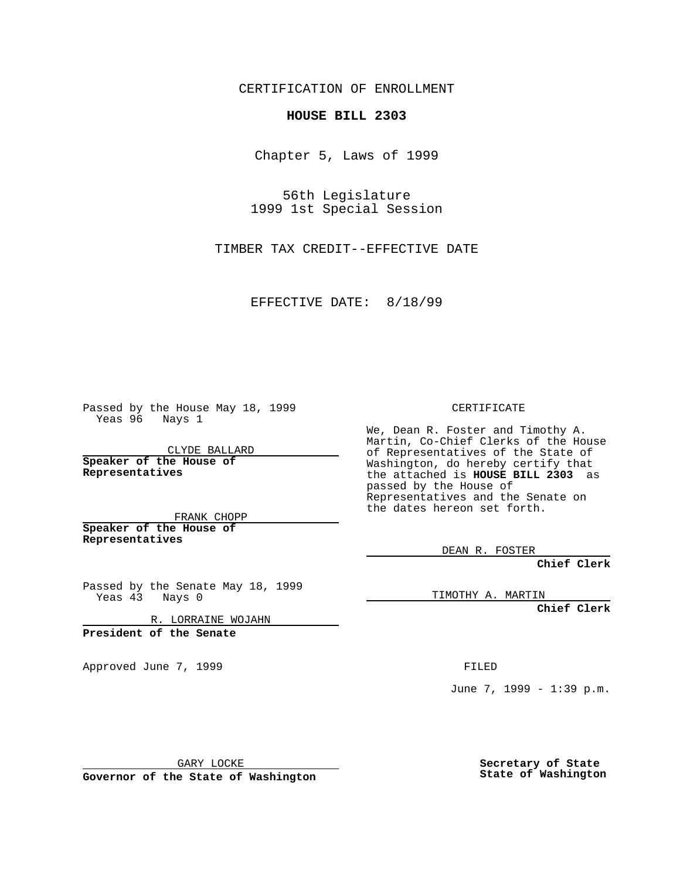CERTIFICATION OF ENROLLMENT

## **HOUSE BILL 2303**

Chapter 5, Laws of 1999

56th Legislature 1999 1st Special Session

TIMBER TAX CREDIT--EFFECTIVE DATE

EFFECTIVE DATE: 8/18/99

Passed by the House May 18, 1999 Yeas 96 Nays 1

CLYDE BALLARD **Speaker of the House of Representatives**

FRANK CHOPP **Speaker of the House of Representatives**

Passed by the Senate May 18, 1999 Yeas 43 Nays 0

R. LORRAINE WOJAHN

**President of the Senate**

Approved June 7, 1999 **FILED** 

CERTIFICATE

We, Dean R. Foster and Timothy A. Martin, Co-Chief Clerks of the House of Representatives of the State of Washington, do hereby certify that the attached is **HOUSE BILL 2303** as passed by the House of Representatives and the Senate on the dates hereon set forth.

DEAN R. FOSTER

**Chief Clerk**

TIMOTHY A. MARTIN

**Chief Clerk**

June 7, 1999 - 1:39 p.m.

GARY LOCKE

**Governor of the State of Washington**

**Secretary of State State of Washington**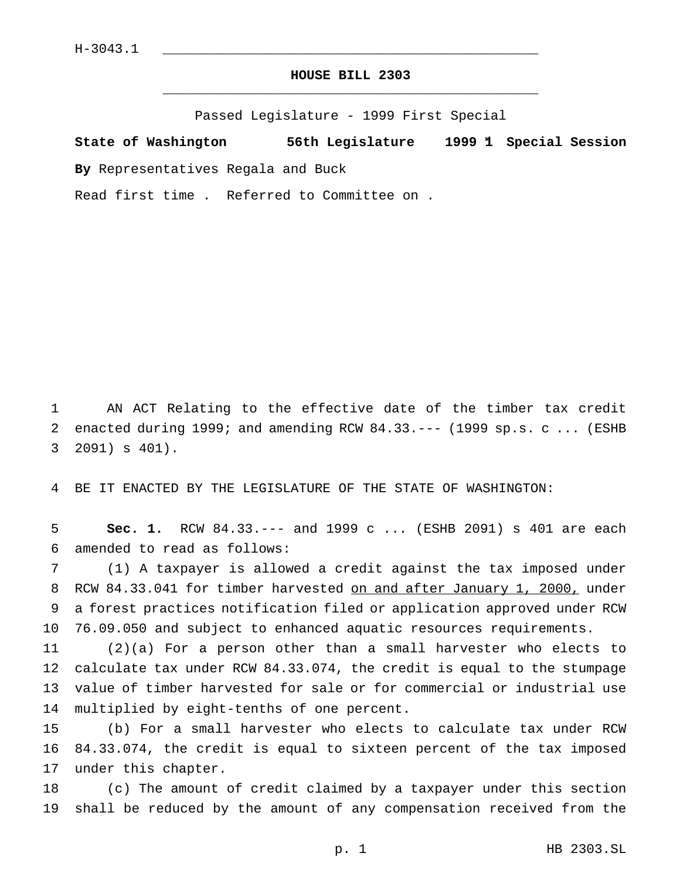## **HOUSE BILL 2303** \_\_\_\_\_\_\_\_\_\_\_\_\_\_\_\_\_\_\_\_\_\_\_\_\_\_\_\_\_\_\_\_\_\_\_\_\_\_\_\_\_\_\_\_\_\_\_

Passed Legislature - 1999 First Special

**State of Washington 56th Legislature 1999 1st Special Session By** Representatives Regala and Buck

Read first time . Referred to Committee on .

 AN ACT Relating to the effective date of the timber tax credit enacted during 1999; and amending RCW 84.33.--- (1999 sp.s. c ... (ESHB 2091) s 401).

BE IT ENACTED BY THE LEGISLATURE OF THE STATE OF WASHINGTON:

 **Sec. 1.** RCW 84.33.--- and 1999 c ... (ESHB 2091) s 401 are each amended to read as follows:

 (1) A taxpayer is allowed a credit against the tax imposed under RCW 84.33.041 for timber harvested on and after January 1, 2000, under a forest practices notification filed or application approved under RCW 76.09.050 and subject to enhanced aquatic resources requirements.

 (2)(a) For a person other than a small harvester who elects to calculate tax under RCW 84.33.074, the credit is equal to the stumpage value of timber harvested for sale or for commercial or industrial use multiplied by eight-tenths of one percent.

 (b) For a small harvester who elects to calculate tax under RCW 84.33.074, the credit is equal to sixteen percent of the tax imposed under this chapter.

 (c) The amount of credit claimed by a taxpayer under this section shall be reduced by the amount of any compensation received from the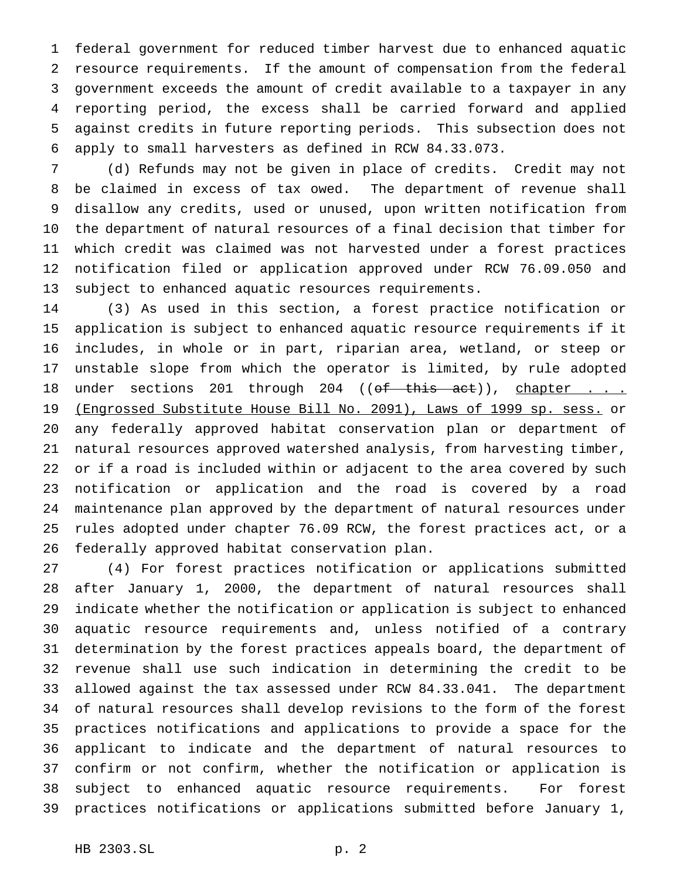federal government for reduced timber harvest due to enhanced aquatic resource requirements. If the amount of compensation from the federal government exceeds the amount of credit available to a taxpayer in any reporting period, the excess shall be carried forward and applied against credits in future reporting periods. This subsection does not apply to small harvesters as defined in RCW 84.33.073.

 (d) Refunds may not be given in place of credits. Credit may not be claimed in excess of tax owed. The department of revenue shall disallow any credits, used or unused, upon written notification from the department of natural resources of a final decision that timber for which credit was claimed was not harvested under a forest practices notification filed or application approved under RCW 76.09.050 and subject to enhanced aquatic resources requirements.

 (3) As used in this section, a forest practice notification or application is subject to enhanced aquatic resource requirements if it includes, in whole or in part, riparian area, wetland, or steep or unstable slope from which the operator is limited, by rule adopted 18 under sections 201 through 204 ((of this act)), chapter . . . 19 (Engrossed Substitute House Bill No. 2091), Laws of 1999 sp. sess. or any federally approved habitat conservation plan or department of natural resources approved watershed analysis, from harvesting timber, or if a road is included within or adjacent to the area covered by such notification or application and the road is covered by a road maintenance plan approved by the department of natural resources under rules adopted under chapter 76.09 RCW, the forest practices act, or a federally approved habitat conservation plan.

 (4) For forest practices notification or applications submitted after January 1, 2000, the department of natural resources shall indicate whether the notification or application is subject to enhanced aquatic resource requirements and, unless notified of a contrary determination by the forest practices appeals board, the department of revenue shall use such indication in determining the credit to be allowed against the tax assessed under RCW 84.33.041. The department of natural resources shall develop revisions to the form of the forest practices notifications and applications to provide a space for the applicant to indicate and the department of natural resources to confirm or not confirm, whether the notification or application is subject to enhanced aquatic resource requirements. For forest practices notifications or applications submitted before January 1,